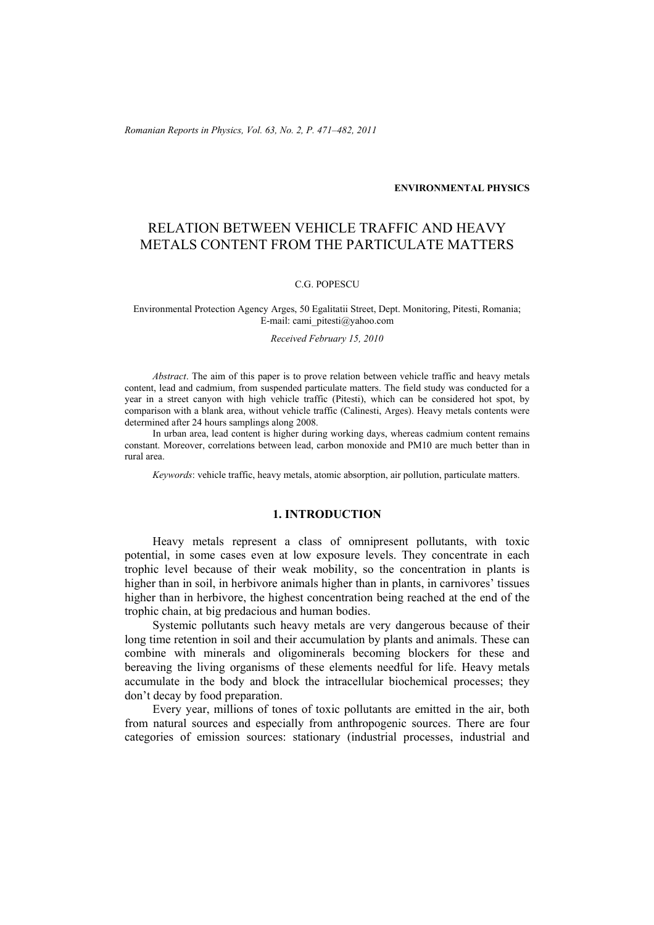*Romanian Reports in Physics, Vol. 63, No. 2, P. 471–482, 2011*

#### **ENVIRONMENTAL PHYSICS**

# RELATION BETWEEN VEHICLE TRAFFIC AND HEAVY METALS CONTENT FROM THE PARTICULATE MATTERS

# C.G. POPESCU

#### Environmental Protection Agency Arges, 50 Egalitatii Street, Dept. Monitoring, Pitesti, Romania; E-mail: cami\_pitesti@yahoo.com

#### *Received February 15, 2010*

*Abstract*. The aim of this paper is to prove relation between vehicle traffic and heavy metals content, lead and cadmium, from suspended particulate matters. The field study was conducted for a year in a street canyon with high vehicle traffic (Pitesti), which can be considered hot spot, by comparison with a blank area, without vehicle traffic (Calinesti, Arges). Heavy metals contents were determined after 24 hours samplings along 2008.

In urban area, lead content is higher during working days, whereas cadmium content remains constant. Moreover, correlations between lead, carbon monoxide and PM10 are much better than in rural area.

*Keywords*: vehicle traffic, heavy metals, atomic absorption, air pollution, particulate matters.

## **1. INTRODUCTION**

Heavy metals represent a class of omnipresent pollutants, with toxic potential, in some cases even at low exposure levels. They concentrate in each trophic level because of their weak mobility, so the concentration in plants is higher than in soil, in herbivore animals higher than in plants, in carnivores' tissues higher than in herbivore, the highest concentration being reached at the end of the trophic chain, at big predacious and human bodies.

Systemic pollutants such heavy metals are very dangerous because of their long time retention in soil and their accumulation by plants and animals. These can combine with minerals and oligominerals becoming blockers for these and bereaving the living organisms of these elements needful for life. Heavy metals accumulate in the body and block the intracellular biochemical processes; they don't decay by food preparation.

Every year, millions of tones of toxic pollutants are emitted in the air, both from natural sources and especially from anthropogenic sources. There are four categories of emission sources: stationary (industrial processes, industrial and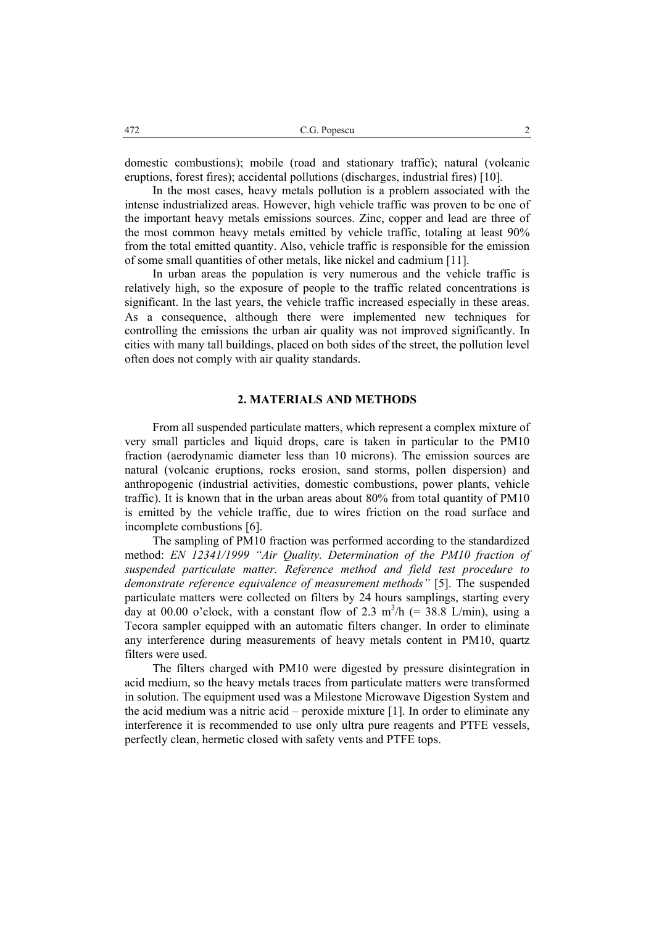domestic combustions); mobile (road and stationary traffic); natural (volcanic eruptions, forest fires); accidental pollutions (discharges, industrial fires) [10].

 In the most cases, heavy metals pollution is a problem associated with the intense industrialized areas. However, high vehicle traffic was proven to be one of the important heavy metals emissions sources. Zinc, copper and lead are three of the most common heavy metals emitted by vehicle traffic, totaling at least 90% from the total emitted quantity. Also, vehicle traffic is responsible for the emission of some small quantities of other metals, like nickel and cadmium [11].

 In urban areas the population is very numerous and the vehicle traffic is relatively high, so the exposure of people to the traffic related concentrations is significant. In the last years, the vehicle traffic increased especially in these areas. As a consequence, although there were implemented new techniques for controlling the emissions the urban air quality was not improved significantly. In cities with many tall buildings, placed on both sides of the street, the pollution level often does not comply with air quality standards.

#### **2. MATERIALS AND METHODS**

From all suspended particulate matters, which represent a complex mixture of very small particles and liquid drops, care is taken in particular to the PM10 fraction (aerodynamic diameter less than 10 microns). The emission sources are natural (volcanic eruptions, rocks erosion, sand storms, pollen dispersion) and anthropogenic (industrial activities, domestic combustions, power plants, vehicle traffic). It is known that in the urban areas about 80% from total quantity of PM10 is emitted by the vehicle traffic, due to wires friction on the road surface and incomplete combustions [6].

 The sampling of PM10 fraction was performed according to the standardized method: *EN 12341/1999 "Air Quality. Determination of the PM10 fraction of suspended particulate matter. Reference method and field test procedure to demonstrate reference equivalence of measurement methods"* [5]. The suspended particulate matters were collected on filters by 24 hours samplings, starting every day at 00.00 o'clock, with a constant flow of 2.3  $m^3/h$  (= 38.8 L/min), using a Tecora sampler equipped with an automatic filters changer. In order to eliminate any interference during measurements of heavy metals content in PM10, quartz filters were used.

 The filters charged with PM10 were digested by pressure disintegration in acid medium, so the heavy metals traces from particulate matters were transformed in solution. The equipment used was a Milestone Microwave Digestion System and the acid medium was a nitric acid – peroxide mixture [1]. In order to eliminate any interference it is recommended to use only ultra pure reagents and PTFE vessels, perfectly clean, hermetic closed with safety vents and PTFE tops.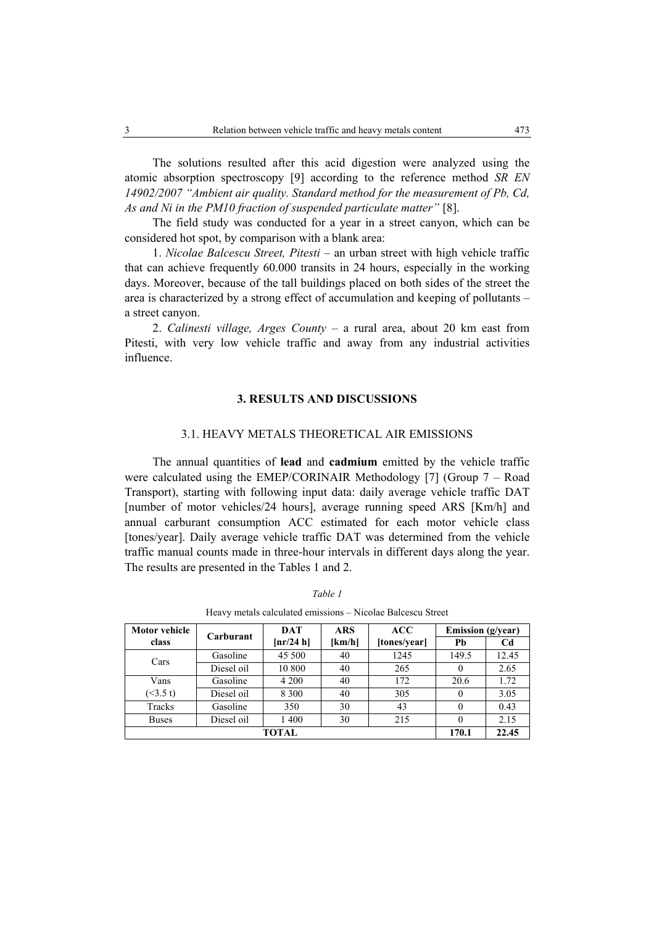The solutions resulted after this acid digestion were analyzed using the atomic absorption spectroscopy [9] according to the reference method *SR EN 14902/2007 "Ambient air quality. Standard method for the measurement of Pb, Cd, As and Ni in the PM10 fraction of suspended particulate matter"* [8].

 The field study was conducted for a year in a street canyon, which can be considered hot spot, by comparison with a blank area:

1. *Nicolae Balcescu Street, Pitesti* – an urban street with high vehicle traffic that can achieve frequently 60.000 transits in 24 hours, especially in the working days. Moreover, because of the tall buildings placed on both sides of the street the area is characterized by a strong effect of accumulation and keeping of pollutants – a street canyon.

2. *Calinesti village, Arges County* – a rural area, about 20 km east from Pitesti, with very low vehicle traffic and away from any industrial activities influence.

#### **3. RESULTS AND DISCUSSIONS**

### 3.1. HEAVY METALS THEORETICAL AIR EMISSIONS

 The annual quantities of **lead** and **cadmium** emitted by the vehicle traffic were calculated using the EMEP/CORINAIR Methodology [7] (Group 7 – Road Transport), starting with following input data: daily average vehicle traffic DAT [number of motor vehicles/24 hours], average running speed ARS [Km/h] and annual carburant consumption ACC estimated for each motor vehicle class [tones/year]. Daily average vehicle traffic DAT was determined from the vehicle traffic manual counts made in three-hour intervals in different days along the year. The results are presented in the Tables 1 and 2.

| Motor vehicle | Carburant  | <b>DAT</b> | <b>ARS</b> | <b>ACC</b>   | <b>Emission</b> (g/year) |                |
|---------------|------------|------------|------------|--------------|--------------------------|----------------|
| class         |            | [nr/24 h]  | [km/h]     | [tones/year] | Ph                       | C <sub>d</sub> |
| Cars          | Gasoline   | 45 500     | 40         | 1245         | 149.5                    | 12.45          |
|               | Diesel oil | 10 800     | 40         | 265          | $\theta$                 | 2.65           |
| Vans          | Gasoline   | 4 200      | 40         | 172          | 20.6                     | 1.72           |
| (<3.5 t)      | Diesel oil | 8 3 0 0    | 40         | 305          |                          | 3.05           |
| Tracks        | Gasoline   | 350        | 30         | 43           | $\theta$                 | 0.43           |
| <b>Buses</b>  | Diesel oil | 1400       | 30         | 215          |                          | 2.15           |
| TOTAL         |            |            |            | 170.1        | 22.45                    |                |

#### *Table 1*

Heavy metals calculated emissions – Nicolae Balcescu Street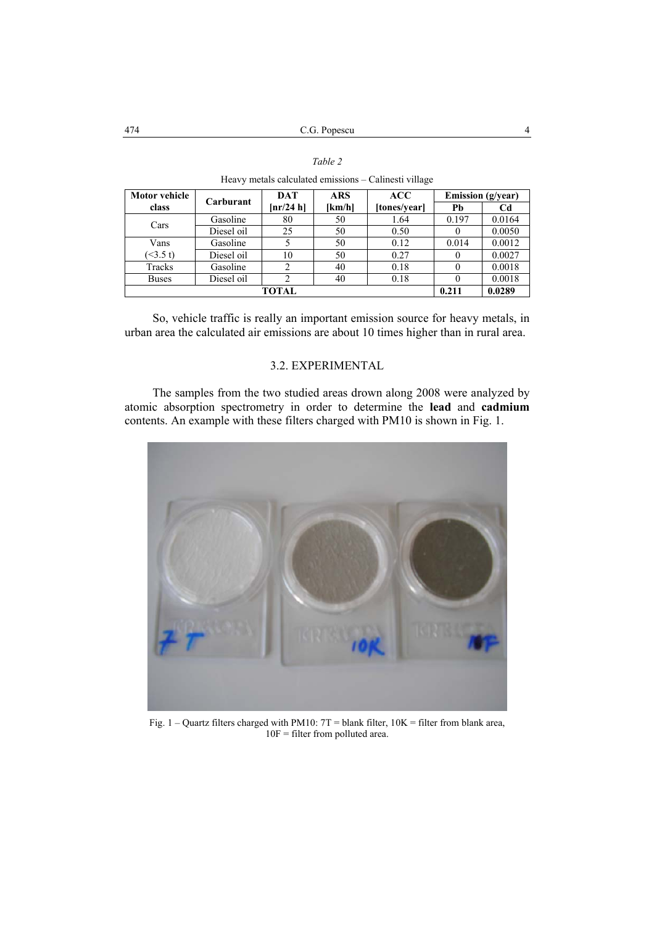| <b>Motor vehicle</b> | Carburant  | <b>DAT</b> | ARS    | ACC          | <b>Emission</b> (g/year) |        |
|----------------------|------------|------------|--------|--------------|--------------------------|--------|
| class                |            | [nr/24 h]  | [km/h] | [tones/year] | Pb                       | Cd     |
| Cars                 | Gasoline   | 80         | 50     | 1.64         | 0.197                    | 0.0164 |
|                      | Diesel oil | 25         | 50     | 0.50         |                          | 0.0050 |
| Vans                 | Gasoline   |            | 50     | 0.12         | 0.014                    | 0.0012 |
| $($ < 3.5 t)         | Diesel oil | 10         | 50     | 0.27         |                          | 0.0027 |
| Tracks               | Gasoline   |            | 40     | 0.18         |                          | 0.0018 |
| <b>Buses</b>         | Diesel oil | 2          | 40     | 0.18         |                          | 0.0018 |
| <b>TOTAL</b>         |            |            |        | 0.211        | 0.0289                   |        |

| Table 2                                               |  |
|-------------------------------------------------------|--|
| Heavy metals calculated emissions – Calinesti village |  |

So, vehicle traffic is really an important emission source for heavy metals, in urban area the calculated air emissions are about 10 times higher than in rural area.

# 3.2. EXPERIMENTAL

 The samples from the two studied areas drown along 2008 were analyzed by atomic absorption spectrometry in order to determine the **lead** and **cadmium** contents. An example with these filters charged with PM10 is shown in Fig. 1.



Fig. 1 – Quartz filters charged with PM10: 7T = blank filter, 10K = filter from blank area, 10F = filter from polluted area.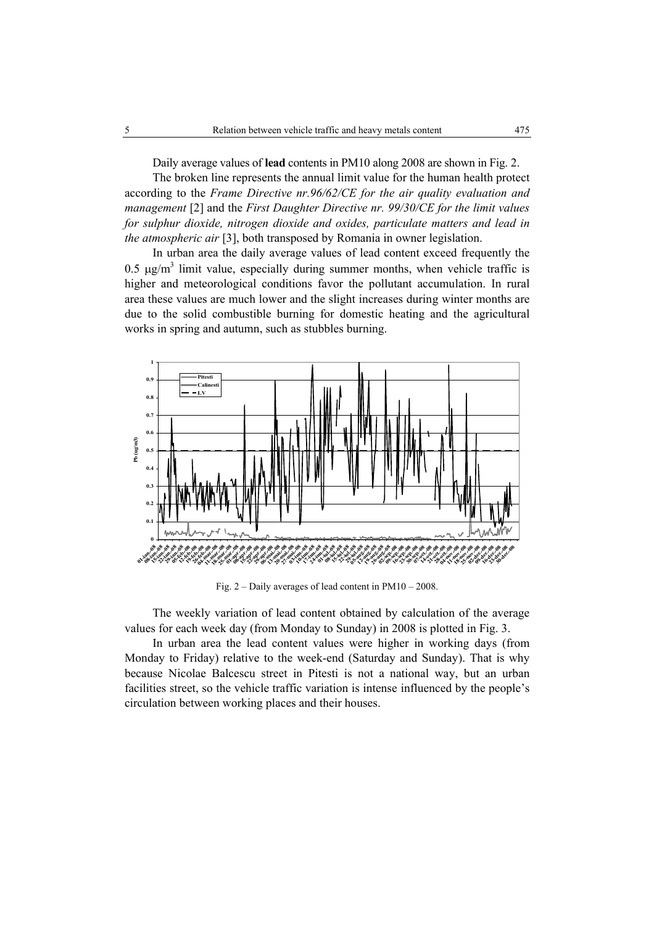Daily average values of **lead** contents in PM10 along 2008 are shown in Fig. 2.

The broken line represents the annual limit value for the human health protect according to the *Frame Directive nr.96/62/CE for the air quality evaluation and management* [2] and the *First Daughter Directive nr. 99/30/CE for the limit values for sulphur dioxide, nitrogen dioxide and oxides, particulate matters and lead in the atmospheric air* [3], both transposed by Romania in owner legislation.

 In urban area the daily average values of lead content exceed frequently the 0.5  $\mu$ g/m<sup>3</sup> limit value, especially during summer months, when vehicle traffic is higher and meteorological conditions favor the pollutant accumulation. In rural area these values are much lower and the slight increases during winter months are due to the solid combustible burning for domestic heating and the agricultural works in spring and autumn, such as stubbles burning.



Fig. 2 – Daily averages of lead content in PM10 – 2008.

 The weekly variation of lead content obtained by calculation of the average values for each week day (from Monday to Sunday) in 2008 is plotted in Fig. 3.

 In urban area the lead content values were higher in working days (from Monday to Friday) relative to the week-end (Saturday and Sunday). That is why because Nicolae Balcescu street in Pitesti is not a national way, but an urban facilities street, so the vehicle traffic variation is intense influenced by the people's circulation between working places and their houses.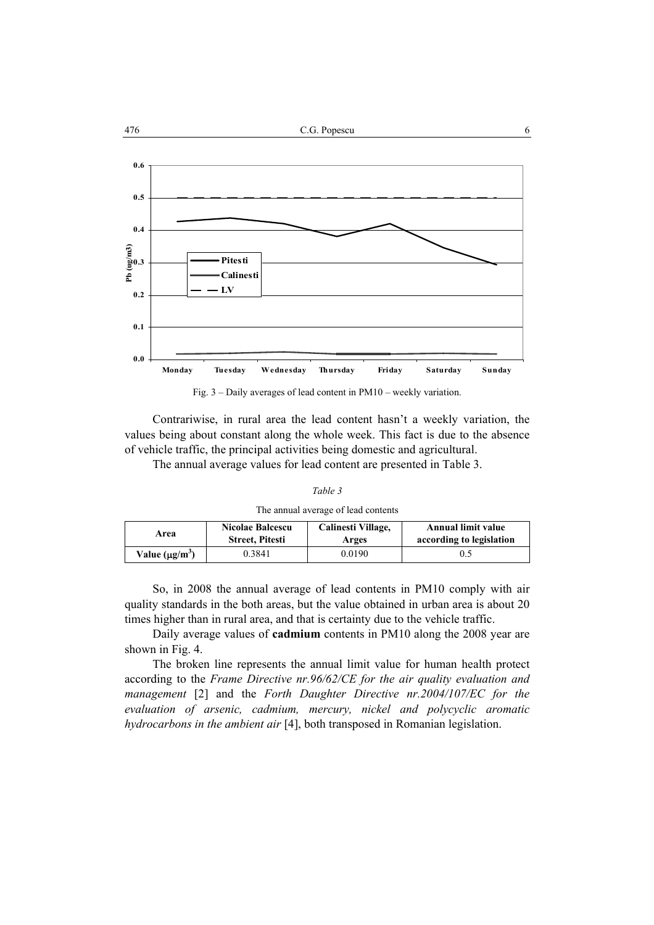

Fig. 3 – Daily averages of lead content in PM10 – weekly variation.

Contrariwise, in rural area the lead content hasn't a weekly variation, the values being about constant along the whole week. This fact is due to the absence of vehicle traffic, the principal activities being domestic and agricultural.

The annual average values for lead content are presented in Table 3.

| The annual average of lead contents |  |  |  |
|-------------------------------------|--|--|--|
|-------------------------------------|--|--|--|

| Area                | Nicolae Balcescu       | Calinesti Village, | <b>Annual limit value</b> |
|---------------------|------------------------|--------------------|---------------------------|
|                     | <b>Street, Pitesti</b> | Arges              | according to legislation  |
| Value $(\mu g/m^3)$ | .) 3841                | 0.0190             |                           |

 So, in 2008 the annual average of lead contents in PM10 comply with air quality standards in the both areas, but the value obtained in urban area is about 20 times higher than in rural area, and that is certainty due to the vehicle traffic.

 Daily average values of **cadmium** contents in PM10 along the 2008 year are shown in Fig. 4.

 The broken line represents the annual limit value for human health protect according to the *Frame Directive nr.96/62/CE for the air quality evaluation and management* [2] and the *Forth Daughter Directive nr.2004/107/EC for the evaluation of arsenic, cadmium, mercury, nickel and polycyclic aromatic hydrocarbons in the ambient air* [4], both transposed in Romanian legislation.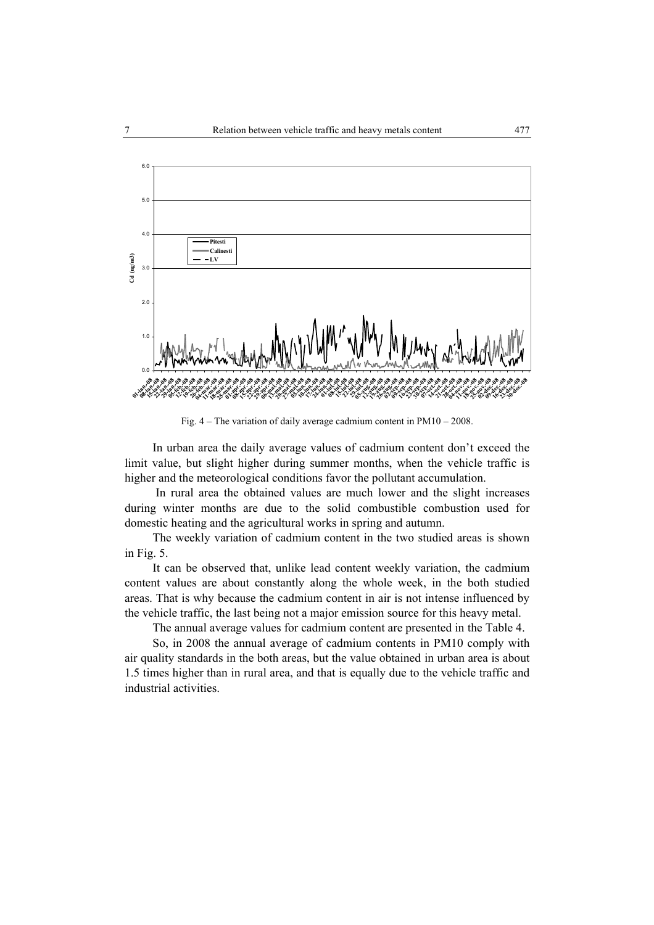

Fig. 4 – The variation of daily average cadmium content in PM10 – 2008.

 In urban area the daily average values of cadmium content don't exceed the limit value, but slight higher during summer months, when the vehicle traffic is higher and the meteorological conditions favor the pollutant accumulation.

 In rural area the obtained values are much lower and the slight increases during winter months are due to the solid combustible combustion used for domestic heating and the agricultural works in spring and autumn.

 The weekly variation of cadmium content in the two studied areas is shown in Fig. 5.

 It can be observed that, unlike lead content weekly variation, the cadmium content values are about constantly along the whole week, in the both studied areas. That is why because the cadmium content in air is not intense influenced by the vehicle traffic, the last being not a major emission source for this heavy metal.

The annual average values for cadmium content are presented in the Table 4.

 So, in 2008 the annual average of cadmium contents in PM10 comply with air quality standards in the both areas, but the value obtained in urban area is about 1.5 times higher than in rural area, and that is equally due to the vehicle traffic and industrial activities.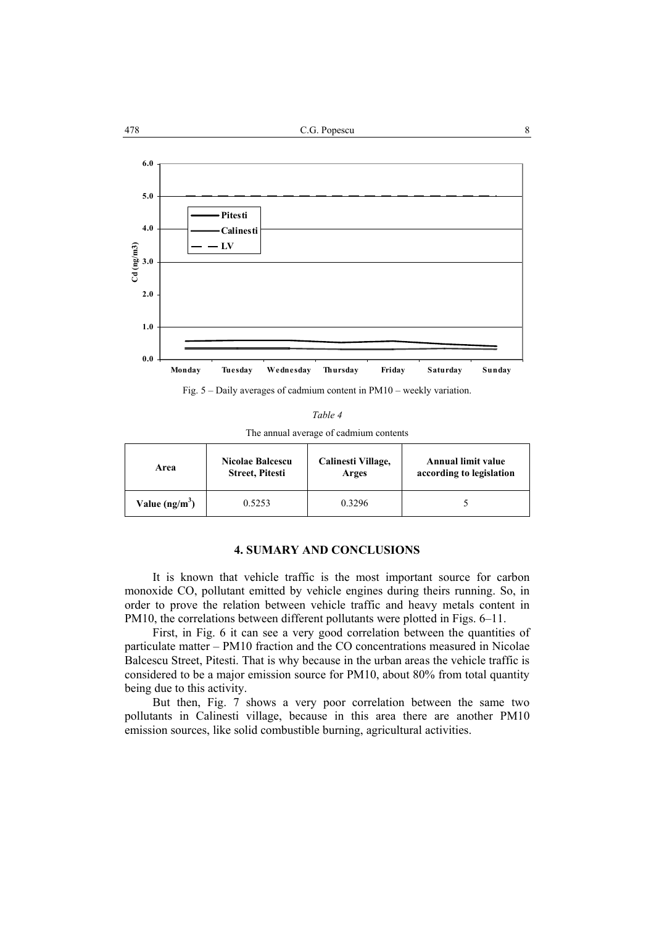

Fig. 5 – Daily averages of cadmium content in PM10 – weekly variation.

|--|--|--|

The annual average of cadmium contents

| Area            | <b>Nicolae Balcescu</b> | Calinesti Village, | <b>Annual limit value</b> |
|-----------------|-------------------------|--------------------|---------------------------|
|                 | <b>Street, Pitesti</b>  | Arges              | according to legislation  |
| Value $(ng/m3)$ | 0.5253                  | 0 3296             |                           |

# **4. SUMARY AND CONCLUSIONS**

 It is known that vehicle traffic is the most important source for carbon monoxide CO, pollutant emitted by vehicle engines during theirs running. So, in order to prove the relation between vehicle traffic and heavy metals content in PM10, the correlations between different pollutants were plotted in Figs. 6–11.

 First, in Fig. 6 it can see a very good correlation between the quantities of particulate matter – PM10 fraction and the CO concentrations measured in Nicolae Balcescu Street, Pitesti. That is why because in the urban areas the vehicle traffic is considered to be a major emission source for PM10, about 80% from total quantity being due to this activity.

But then, Fig. 7 shows a very poor correlation between the same two pollutants in Calinesti village, because in this area there are another PM10 emission sources, like solid combustible burning, agricultural activities.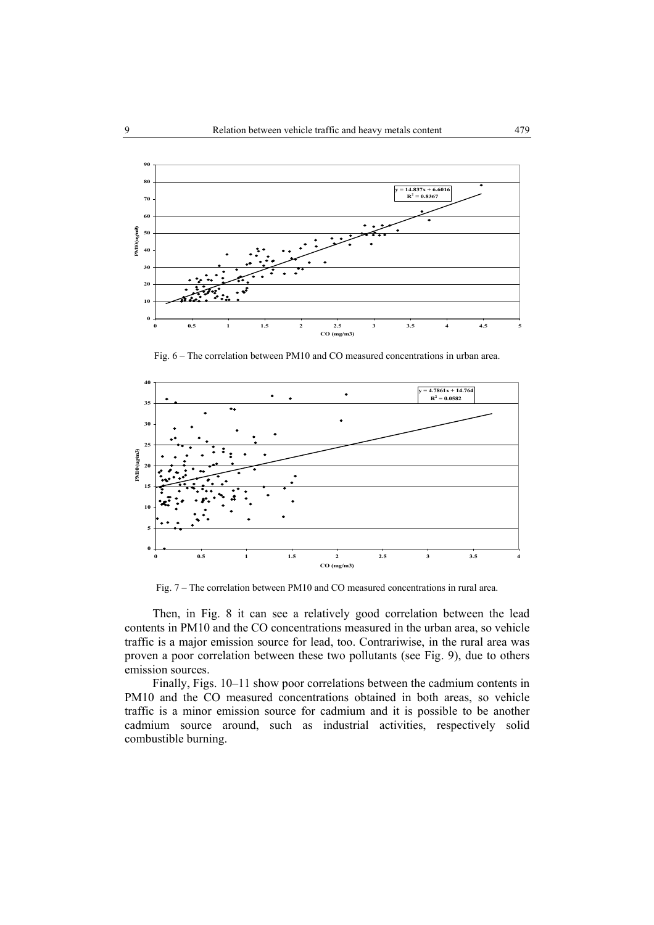

Fig. 6 – The correlation between PM10 and CO measured concentrations in urban area.



Fig. 7 – The correlation between PM10 and CO measured concentrations in rural area.

 Then, in Fig. 8 it can see a relatively good correlation between the lead contents in PM10 and the CO concentrations measured in the urban area, so vehicle traffic is a major emission source for lead, too. Contrariwise, in the rural area was proven a poor correlation between these two pollutants (see Fig. 9), due to others emission sources.

 Finally, Figs. 10–11 show poor correlations between the cadmium contents in PM10 and the CO measured concentrations obtained in both areas, so vehicle traffic is a minor emission source for cadmium and it is possible to be another cadmium source around, such as industrial activities, respectively solid combustible burning.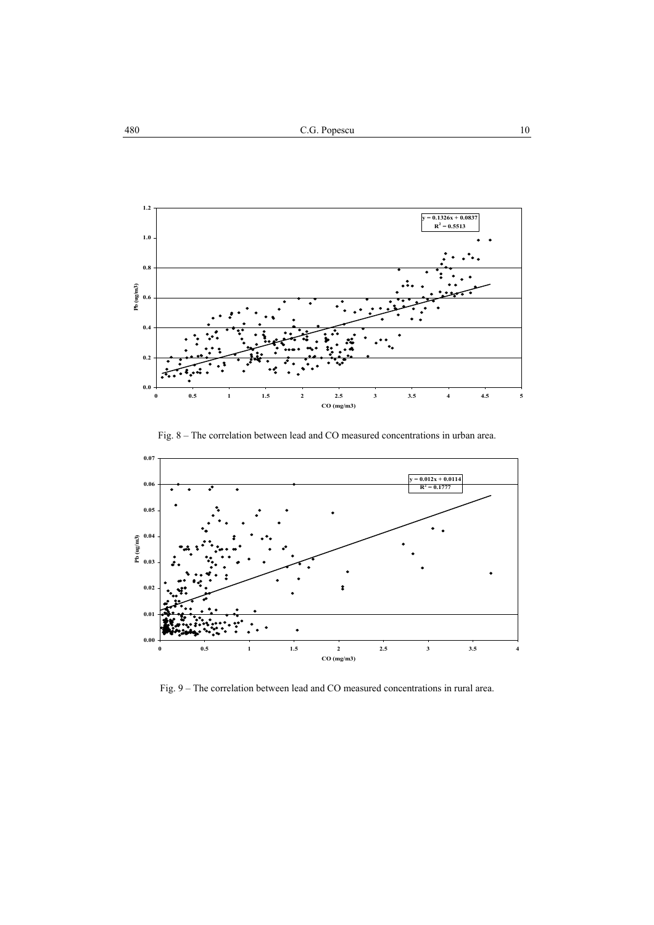





Fig. 9 – The correlation between lead and CO measured concentrations in rural area.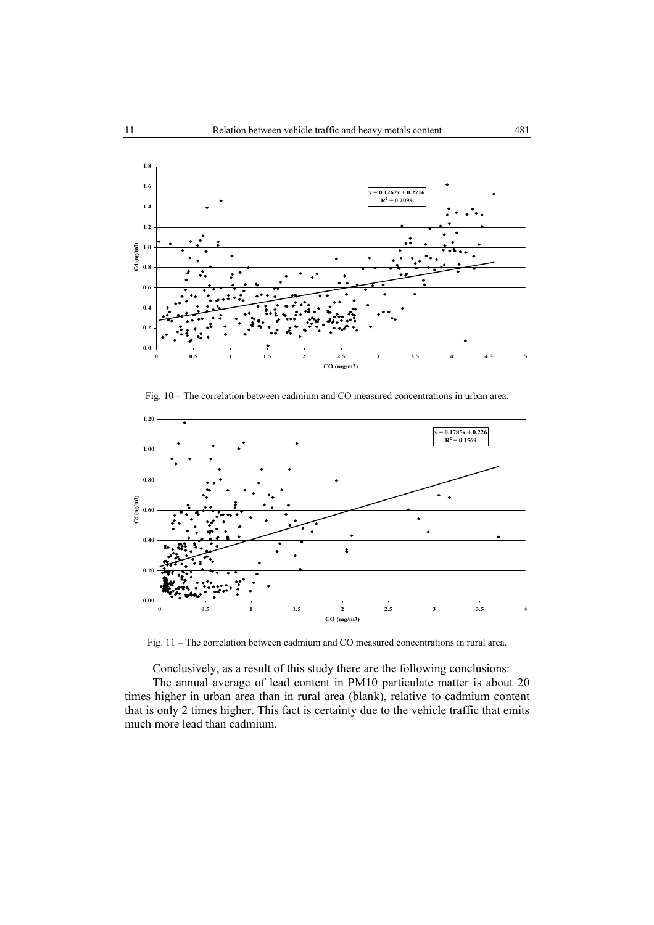

Fig. 10 – The correlation between cadmium and CO measured concentrations in urban area.



Fig. 11 – The correlation between cadmium and CO measured concentrations in rural area.

Conclusively, as a result of this study there are the following conclusions:

The annual average of lead content in PM10 particulate matter is about 20 times higher in urban area than in rural area (blank), relative to cadmium content that is only 2 times higher. This fact is certainty due to the vehicle traffic that emits much more lead than cadmium.